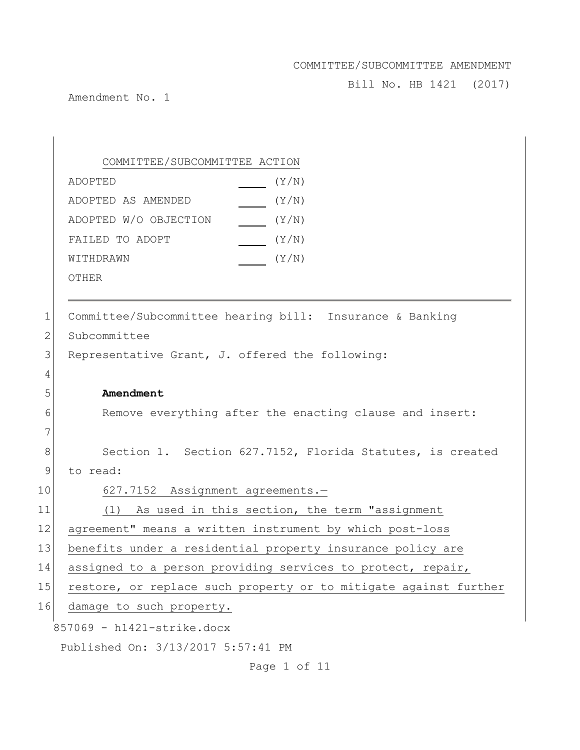Bill No. HB 1421 (2017)

Amendment No. 1

857069 - h1421-strike.docx Published On: 3/13/2017 5:57:41 PM COMMITTEE/SUBCOMMITTEE ACTION ADOPTED(Y/N) ADOPTED AS AMENDED(Y/N) ADOPTED W/O OBJECTION (Y/N) FAILED TO ADOPT  $\sqrt{Y/N}$ WITHDRAWN(Y/N) OTHER 1 Committee/Subcommittee hearing bill: Insurance & Banking 2 Subcommittee 3 Representative Grant, J. offered the following: 4 5 **Amendment** 6 Remove everything after the enacting clause and insert: 7 8 Section 1. Section 627.7152, Florida Statutes, is created 9 to read: 10 627.7152 Assignment agreements.-11 (1) As used in this section, the term "assignment 12 agreement" means a written instrument by which post-loss 13 benefits under a residential property insurance policy are 14 assigned to a person providing services to protect, repair, 15 restore, or replace such property or to mitigate against further 16 damage to such property.

Page 1 of 11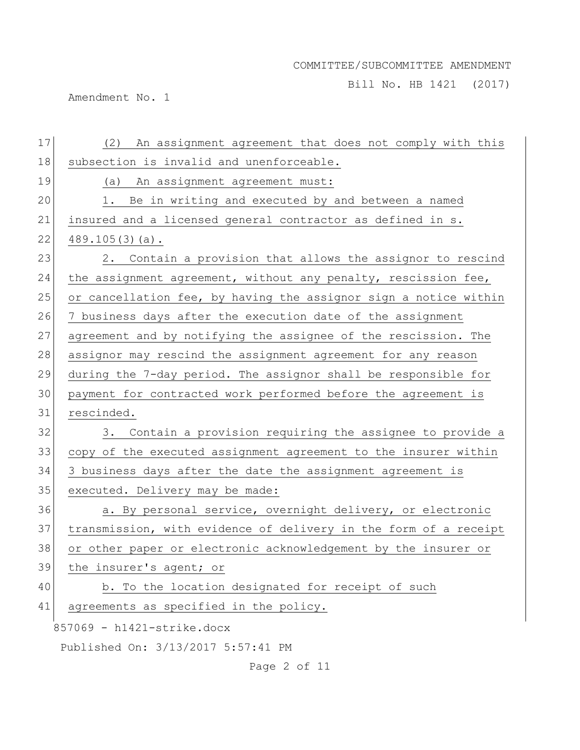Bill No. HB 1421 (2017)

Amendment No. 1

| 17 | An assignment agreement that does not comply with this<br>(2)    |
|----|------------------------------------------------------------------|
| 18 | subsection is invalid and unenforceable.                         |
| 19 | An assignment agreement must:<br>(a)                             |
| 20 | 1.<br>Be in writing and executed by and between a named          |
| 21 | insured and a licensed general contractor as defined in s.       |
| 22 | $489.105(3)(a)$ .                                                |
| 23 | 2. Contain a provision that allows the assignor to rescind       |
| 24 | the assignment agreement, without any penalty, rescission fee,   |
| 25 | or cancellation fee, by having the assignor sign a notice within |
| 26 | 7 business days after the execution date of the assignment       |
| 27 | agreement and by notifying the assignee of the rescission. The   |
| 28 | assignor may rescind the assignment agreement for any reason     |
| 29 | during the 7-day period. The assignor shall be responsible for   |
| 30 | payment for contracted work performed before the agreement is    |
| 31 | rescinded.                                                       |
| 32 | 3. Contain a provision requiring the assignee to provide a       |
| 33 | copy of the executed assignment agreement to the insurer within  |
| 34 | 3 business days after the date the assignment agreement is       |
| 35 | executed. Delivery may be made:                                  |
| 36 | a. By personal service, overnight delivery, or electronic        |
| 37 | transmission, with evidence of delivery in the form of a receipt |
| 38 | or other paper or electronic acknowledgement by the insurer or   |
| 39 | the insurer's agent; or                                          |
| 40 | b. To the location designated for receipt of such                |
| 41 | agreements as specified in the policy.                           |
|    | 857069 - h1421-strike.docx                                       |
|    | Published On: 3/13/2017 5:57:41 PM                               |

Page 2 of 11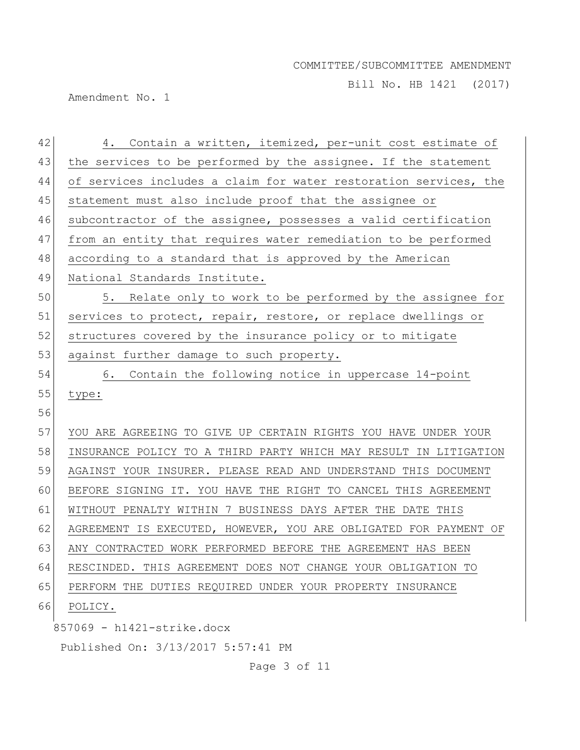Bill No. HB 1421 (2017)

Amendment No. 1

| 42 | 4. Contain a written, itemized, per-unit cost estimate of        |
|----|------------------------------------------------------------------|
| 43 | the services to be performed by the assignee. If the statement   |
| 44 | of services includes a claim for water restoration services, the |
| 45 | statement must also include proof that the assignee or           |
| 46 | subcontractor of the assignee, possesses a valid certification   |
| 47 | from an entity that requires water remediation to be performed   |
| 48 | according to a standard that is approved by the American         |
| 49 | National Standards Institute.                                    |
| 50 | 5. Relate only to work to be performed by the assignee for       |
| 51 | services to protect, repair, restore, or replace dwellings or    |
| 52 | structures covered by the insurance policy or to mitigate        |
| 53 | against further damage to such property.                         |
| 54 | 6. Contain the following notice in uppercase 14-point            |
| 55 | type:                                                            |
| 56 |                                                                  |
| 57 | YOU ARE AGREEING TO GIVE UP CERTAIN RIGHTS YOU HAVE UNDER YOUR   |
| 58 | INSURANCE POLICY TO A THIRD PARTY WHICH MAY RESULT IN LITIGATION |
| 59 | AGAINST YOUR INSURER. PLEASE READ AND UNDERSTAND THIS DOCUMENT   |
| 60 | BEFORE SIGNING IT. YOU HAVE THE RIGHT TO CANCEL THIS AGREEMENT   |
| 61 | WITHOUT PENALTY WITHIN 7 BUSINESS DAYS AFTER THE DATE THIS       |
| 62 | AGREEMENT IS EXECUTED, HOWEVER, YOU ARE OBLIGATED FOR PAYMENT OF |
| 63 | ANY CONTRACTED WORK PERFORMED BEFORE THE AGREEMENT HAS BEEN      |
| 64 | RESCINDED. THIS AGREEMENT DOES NOT CHANGE YOUR OBLIGATION TO     |
| 65 | PERFORM THE DUTIES REQUIRED UNDER YOUR PROPERTY INSURANCE        |
| 66 | POLICY.                                                          |
|    | 857069 - h1421-strike.docx                                       |
|    |                                                                  |

Page 3 of 11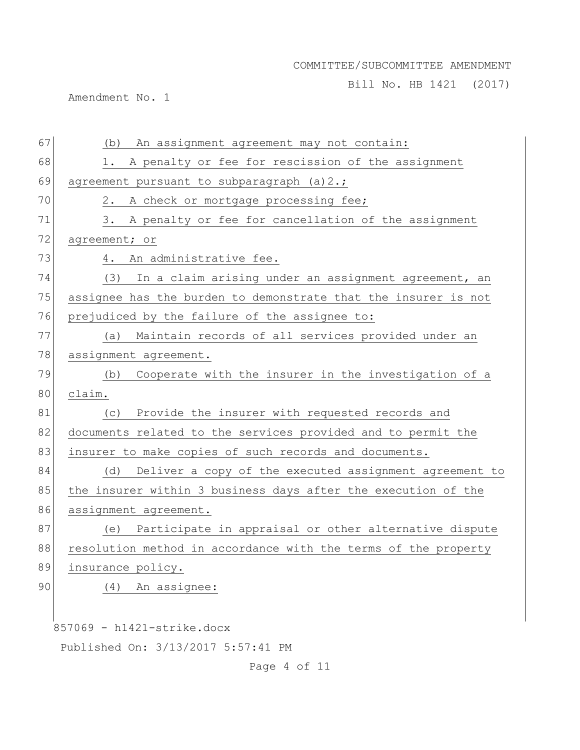Bill No. HB 1421 (2017)

Amendment No. 1

| 67 | An assignment agreement may not contain:<br>(b)                |
|----|----------------------------------------------------------------|
| 68 | A penalty or fee for rescission of the assignment<br>1.        |
| 69 | agreement pursuant to subparagraph (a) 2.;                     |
| 70 | 2.<br>A check or mortgage processing fee;                      |
| 71 | A penalty or fee for cancellation of the assignment<br>3.      |
| 72 | agreement; or                                                  |
| 73 | An administrative fee.<br>4.                                   |
| 74 | In a claim arising under an assignment agreement, an<br>(3)    |
| 75 | assignee has the burden to demonstrate that the insurer is not |
| 76 | prejudiced by the failure of the assignee to:                  |
| 77 | Maintain records of all services provided under an<br>(a)      |
| 78 | assignment agreement.                                          |
| 79 | Cooperate with the insurer in the investigation of a<br>(b)    |
| 80 | claim.                                                         |
| 81 | Provide the insurer with requested records and<br>(C)          |
| 82 | documents related to the services provided and to permit the   |
| 83 | insurer to make copies of such records and documents.          |
| 84 | Deliver a copy of the executed assignment agreement to<br>(d)  |
| 85 | the insurer within 3 business days after the execution of the  |
| 86 | assignment agreement.                                          |
| 87 | Participate in appraisal or other alternative dispute<br>(e)   |
| 88 | resolution method in accordance with the terms of the property |
| 89 | insurance policy.                                              |
| 90 | An assignee:<br>(4)                                            |
|    |                                                                |
|    | 857069 - h1421-strike.docx                                     |

Published On: 3/13/2017 5:57:41 PM

Page 4 of 11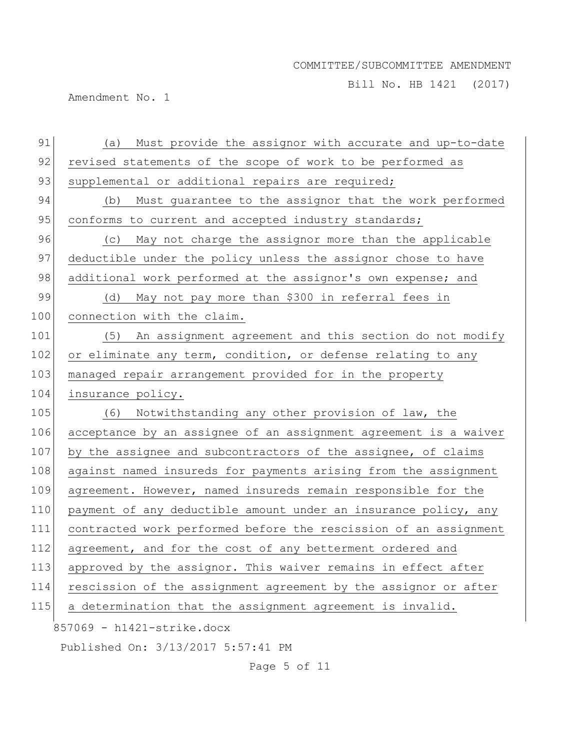Bill No. HB 1421 (2017)

Amendment No. 1

| 91  | Must provide the assignor with accurate and up-to-date<br>(a)    |
|-----|------------------------------------------------------------------|
| 92  | revised statements of the scope of work to be performed as       |
| 93  | supplemental or additional repairs are required;                 |
| 94  | Must guarantee to the assignor that the work performed<br>(b)    |
| 95  | conforms to current and accepted industry standards;             |
| 96  | May not charge the assignor more than the applicable<br>(C)      |
| 97  |                                                                  |
|     | deductible under the policy unless the assignor chose to have    |
| 98  | additional work performed at the assignor's own expense; and     |
| 99  | May not pay more than \$300 in referral fees in<br>(d)           |
| 100 | connection with the claim.                                       |
| 101 | An assignment agreement and this section do not modify<br>(5)    |
| 102 | or eliminate any term, condition, or defense relating to any     |
| 103 | managed repair arrangement provided for in the property          |
| 104 | insurance policy.                                                |
| 105 | Notwithstanding any other provision of law, the<br>(6)           |
| 106 | acceptance by an assignee of an assignment agreement is a waiver |
| 107 | by the assignee and subcontractors of the assignee, of claims    |
| 108 | against named insureds for payments arising from the assignment  |
| 109 | agreement. However, named insureds remain responsible for the    |
| 110 | payment of any deductible amount under an insurance policy, any  |
| 111 | contracted work performed before the rescission of an assignment |
| 112 | agreement, and for the cost of any betterment ordered and        |
| 113 | approved by the assignor. This waiver remains in effect after    |
| 114 | rescission of the assignment agreement by the assignor or after  |
| 115 | a determination that the assignment agreement is invalid.        |
|     | 857069 - h1421-strike.docx                                       |
|     | Published On: 3/13/2017 5:57:41 PM                               |

Page 5 of 11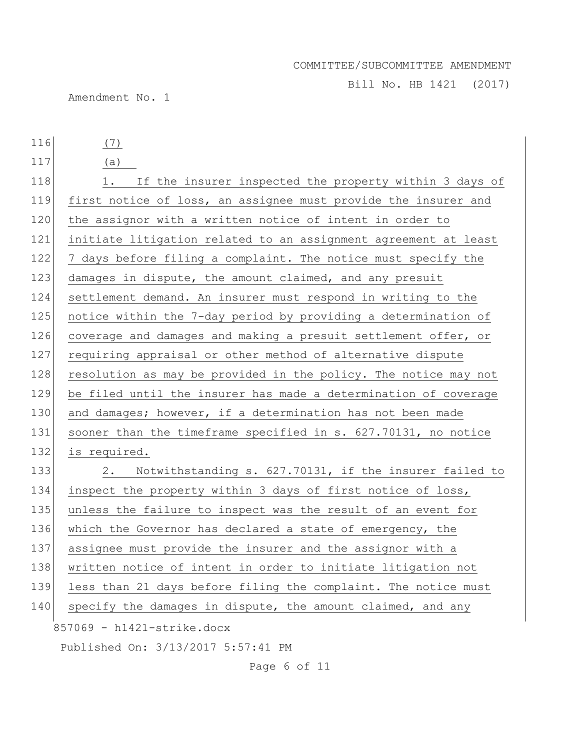Bill No. HB 1421 (2017)

Amendment No. 1

116 (7)

117 (a)

118 1. If the insurer inspected the property within 3 days of 119 first notice of loss, an assignee must provide the insurer and 120 the assignor with a written notice of intent in order to 121 initiate litigation related to an assignment agreement at least 122 7 days before filing a complaint. The notice must specify the 123 damages in dispute, the amount claimed, and any presuit 124 settlement demand. An insurer must respond in writing to the 125 notice within the 7-day period by providing a determination of 126 coverage and damages and making a presuit settlement offer, or 127 requiring appraisal or other method of alternative dispute 128 resolution as may be provided in the policy. The notice may not 129 be filed until the insurer has made a determination of coverage 130 and damages; however, if a determination has not been made 131 sooner than the timeframe specified in s. 627.70131, no notice 132 is required. 133 2. Notwithstanding s. 627.70131, if the insurer failed to 134 inspect the property within 3 days of first notice of loss, 135 unless the failure to inspect was the result of an event for

136 which the Governor has declared a state of emergency, the

- 137 assignee must provide the insurer and the assignor with a
- 138 | written notice of intent in order to initiate litigation not
- 139 less than 21 days before filing the complaint. The notice must
- 140 specify the damages in dispute, the amount claimed, and any

 $857069 - h1421 - strike.docx$ 

Published On: 3/13/2017 5:57:41 PM

Page 6 of 11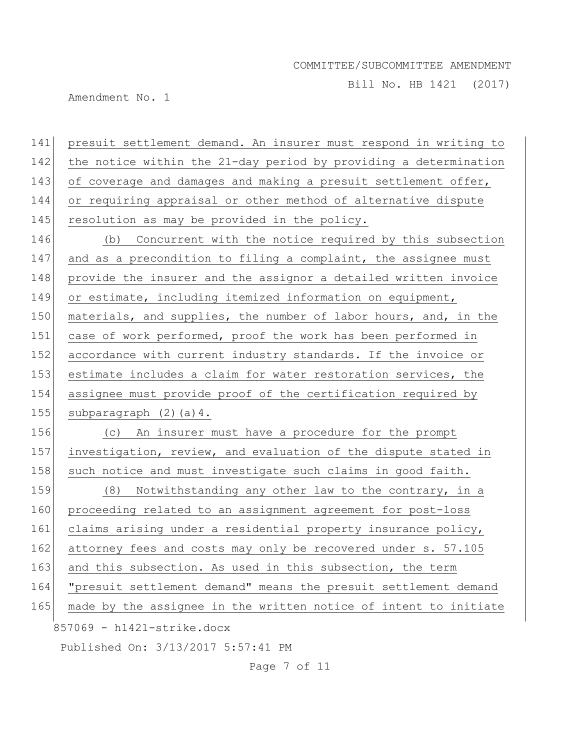Bill No. HB 1421 (2017)

Amendment No. 1

141 presuit settlement demand. An insurer must respond in writing to 142 the notice within the 21-day period by providing a determination 143 of coverage and damages and making a presuit settlement offer, 144 or requiring appraisal or other method of alternative dispute 145 resolution as may be provided in the policy.

146 (b) Concurrent with the notice required by this subsection 147 and as a precondition to filing a complaint, the assignee must 148 provide the insurer and the assignor a detailed written invoice 149 or estimate, including itemized information on equipment, 150 materials, and supplies, the number of labor hours, and, in the 151 case of work performed, proof the work has been performed in 152 accordance with current industry standards. If the invoice or 153 estimate includes a claim for water restoration services, the 154 assignee must provide proof of the certification required by 155 subparagraph  $(2)(a)4$ .

156 (c) An insurer must have a procedure for the prompt 157 investigation, review, and evaluation of the dispute stated in 158 such notice and must investigate such claims in good faith.

 $857069 - h1421 - strike.docx$ 159 (8) Notwithstanding any other law to the contrary, in a 160 proceeding related to an assignment agreement for post-loss 161 claims arising under a residential property insurance policy, 162 attorney fees and costs may only be recovered under s. 57.105 163 and this subsection. As used in this subsection, the term 164 "presuit settlement demand" means the presuit settlement demand 165 made by the assignee in the written notice of intent to initiate

Published On: 3/13/2017 5:57:41 PM

Page 7 of 11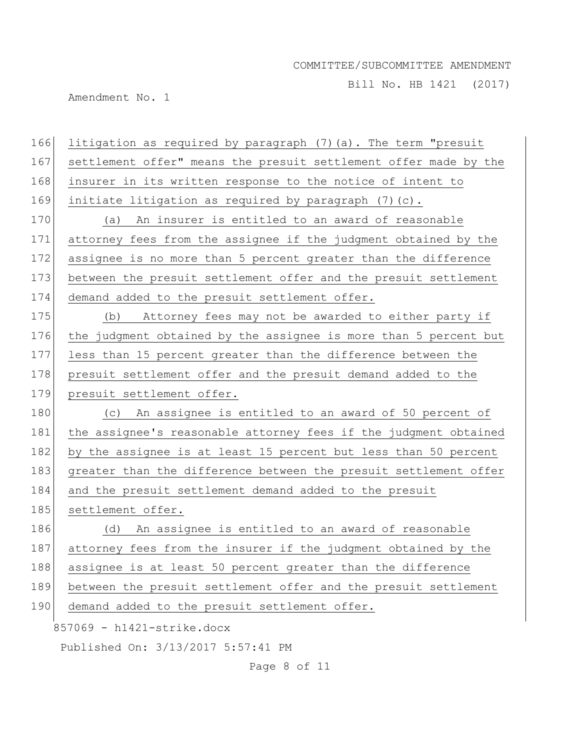Bill No. HB 1421 (2017)

Amendment No. 1

857069 - h1421-strike.docx Published On: 3/13/2017 5:57:41 PM 166 litigation as required by paragraph (7)(a). The term "presuit 167 settlement offer" means the presuit settlement offer made by the 168 insurer in its written response to the notice of intent to 169 initiate litigation as required by paragraph  $(7)(c)$ . 170 (a) An insurer is entitled to an award of reasonable 171 attorney fees from the assignee if the judgment obtained by the 172 assignee is no more than 5 percent greater than the difference 173 between the presuit settlement offer and the presuit settlement 174 demand added to the presuit settlement offer. 175 (b) Attorney fees may not be awarded to either party if 176 the judgment obtained by the assignee is more than 5 percent but 177 less than 15 percent greater than the difference between the 178 presuit settlement offer and the presuit demand added to the 179 presuit settlement offer. 180 (c) An assignee is entitled to an award of 50 percent of 181 the assignee's reasonable attorney fees if the judgment obtained 182 by the assignee is at least 15 percent but less than 50 percent 183 greater than the difference between the presuit settlement offer 184 and the presuit settlement demand added to the presuit 185 settlement offer. 186 (d) An assignee is entitled to an award of reasonable 187 attorney fees from the insurer if the judgment obtained by the 188 assignee is at least 50 percent greater than the difference 189 between the presuit settlement offer and the presuit settlement 190 demand added to the presuit settlement offer.

Page 8 of 11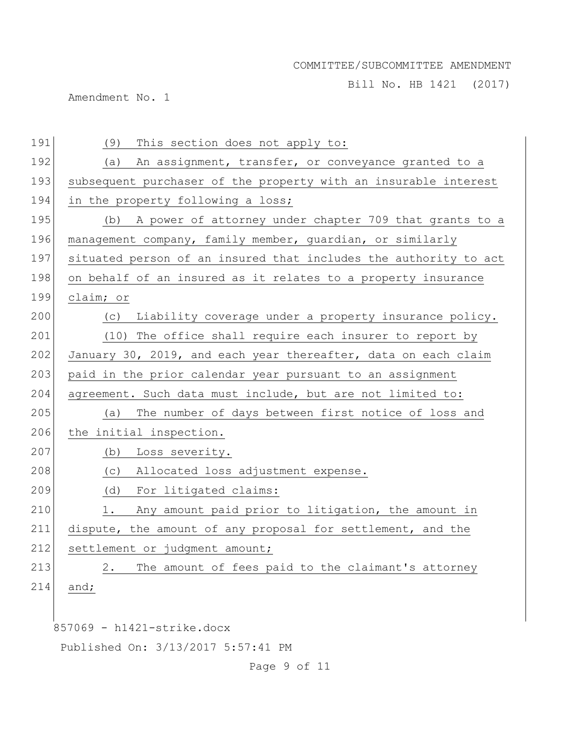Bill No. HB 1421 (2017)

Amendment No. 1

| 191 | This section does not apply to:<br>(9)                           |
|-----|------------------------------------------------------------------|
| 192 | (a) An assignment, transfer, or conveyance granted to a          |
| 193 | subsequent purchaser of the property with an insurable interest  |
| 194 | in the property following a loss;                                |
| 195 | (b) A power of attorney under chapter 709 that grants to a       |
| 196 | management company, family member, guardian, or similarly        |
| 197 | situated person of an insured that includes the authority to act |
| 198 | on behalf of an insured as it relates to a property insurance    |
| 199 | claim; or                                                        |
| 200 | (c) Liability coverage under a property insurance policy.        |
| 201 | (10) The office shall require each insurer to report by          |
| 202 | January 30, 2019, and each year thereafter, data on each claim   |
| 203 | paid in the prior calendar year pursuant to an assignment        |
| 204 | agreement. Such data must include, but are not limited to:       |
| 205 | The number of days between first notice of loss and<br>(a)       |
| 206 | the initial inspection.                                          |
| 207 | (b) Loss severity.                                               |
| 208 | (c) Allocated loss adjustment expense.                           |
| 209 | (d) For litigated claims:                                        |
| 210 | 1. Any amount paid prior to litigation, the amount in            |
| 211 | dispute, the amount of any proposal for settlement, and the      |
| 212 | settlement or judgment amount;                                   |
| 213 | The amount of fees paid to the claimant's attorney<br>2.         |
| 214 | and;                                                             |
|     |                                                                  |
|     | 857069 - h1421-strike.docx                                       |
|     | Published On: 3/13/2017 5:57:41 PM                               |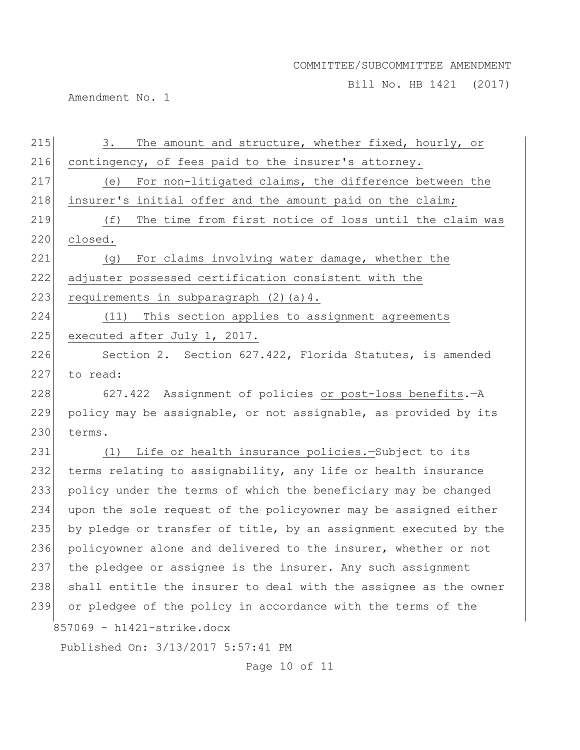Bill No. HB 1421 (2017)

Amendment No. 1

| 215 | The amount and structure, whether fixed, hourly, or<br>3.        |
|-----|------------------------------------------------------------------|
| 216 | contingency, of fees paid to the insurer's attorney.             |
| 217 | For non-litigated claims, the difference between the<br>(e)      |
| 218 | insurer's initial offer and the amount paid on the claim;        |
| 219 | (f)<br>The time from first notice of loss until the claim was    |
| 220 | closed.                                                          |
| 221 | For claims involving water damage, whether the<br>(g)            |
| 222 | adjuster possessed certification consistent with the             |
| 223 | requirements in subparagraph (2) (a) 4.                          |
| 224 | (11) This section applies to assignment agreements               |
| 225 | executed after July 1, 2017.                                     |
| 226 | Section 2. Section 627.422, Florida Statutes, is amended         |
| 227 | to read:                                                         |
| 228 | 627.422 Assignment of policies or post-loss benefits.-A          |
| 229 | policy may be assignable, or not assignable, as provided by its  |
| 230 | terms.                                                           |
| 231 | Life or health insurance policies.-Subject to its<br>(1)         |
| 232 | terms relating to assignability, any life or health insurance    |
| 233 | policy under the terms of which the beneficiary may be changed   |
| 234 | upon the sole request of the policyowner may be assigned either  |
| 235 | by pledge or transfer of title, by an assignment executed by the |
| 236 | policyowner alone and delivered to the insurer, whether or not   |
| 237 | the pledgee or assignee is the insurer. Any such assignment      |
| 238 | shall entitle the insurer to deal with the assignee as the owner |
| 239 | or pledgee of the policy in accordance with the terms of the     |
|     | 857069 - h1421-strike.docx                                       |
|     | Published On: 3/13/2017 5:57:41 PM                               |
|     | Page 10 of 11                                                    |